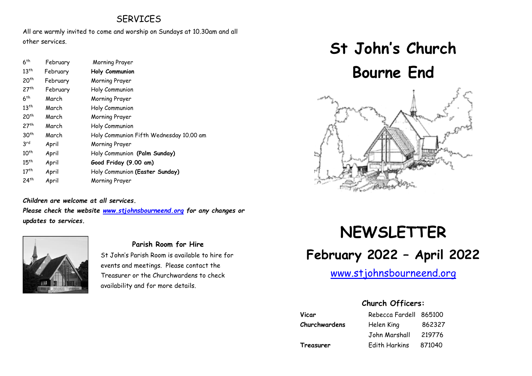## **SERVICES**

All are warmly invited to come and worship on Sundays at 10.30am and all other services.

| 6 <sup>th</sup>  | February | Morning Prayer                          |
|------------------|----------|-----------------------------------------|
| $13^{th}$        | February | Holy Communion                          |
| 20 <sup>th</sup> | February | Morning Prayer                          |
| 27 <sup>th</sup> | February | Holy Communion                          |
| 6 <sup>th</sup>  | March    | Morning Prayer                          |
| 13 <sup>th</sup> | March    | Holy Communion                          |
| 20 <sup>th</sup> | March    | Morning Prayer                          |
| 27 <sup>th</sup> | March    | Holy Communion                          |
| 30 <sup>th</sup> | March    | Holy Communion Fifth Wednesday 10.00 am |
| 3 <sup>rd</sup>  | April    | Morning Prayer                          |
| $10^{th}$        | April    | Holy Communion (Palm Sunday)            |
| $15^{th}$        | April    | Good Friday (9.00 am)                   |
| 17 <sup>th</sup> | April    | Holy Communion (Easter Sunday)          |
| 24 <sup>th</sup> | April    | Morning Prayer                          |

#### *Children are welcome at all services.*

*Please check the website [www.stjohnsbourneend.org](http://www.stjohnsbourneend.org/) for any changes or updates to services.*



#### **Parish Room for Hire**

St John's Parish Room is available to hire for events and meetings. Please contact the Treasurer or the Churchwardens to check availability and for more details.

# **St John's Church Bourne End**



# **NEWSLETTER February 2022 – April 2022**

## [www.stjohnsbourneend.org](http://www.stjohnsbourneend.org/)

## **Church Officers:**

| Vicar         | Rebecca Fardell 865100 |        |
|---------------|------------------------|--------|
| Churchwardens | Helen King             | 862327 |
|               | John Marshall          | 219776 |
| Treasurer     | Edith Harkins          | 871040 |